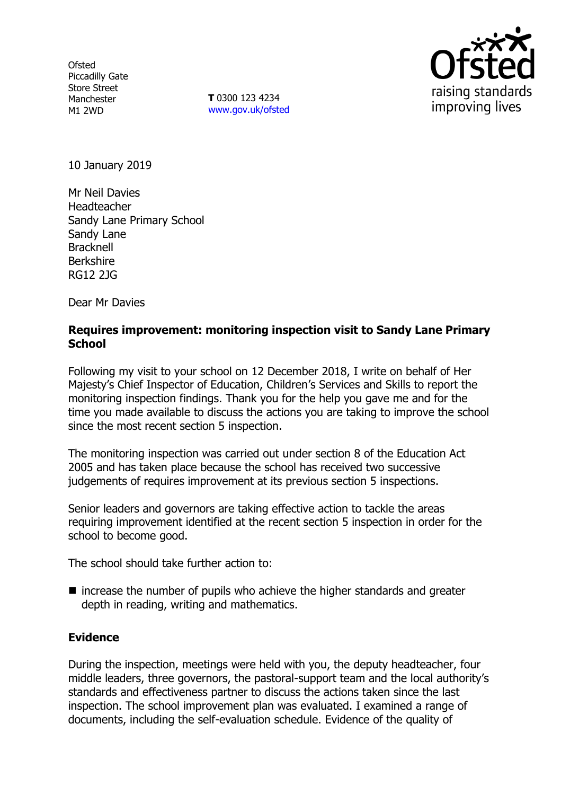**Ofsted** Piccadilly Gate Store Street Manchester M1 2WD

**T** 0300 123 4234 www.gov.uk/ofsted



10 January 2019

Mr Neil Davies Headteacher Sandy Lane Primary School Sandy Lane Bracknell Berkshire RG12 2JG

Dear Mr Davies

### **Requires improvement: monitoring inspection visit to Sandy Lane Primary School**

Following my visit to your school on 12 December 2018, I write on behalf of Her Majesty's Chief Inspector of Education, Children's Services and Skills to report the monitoring inspection findings. Thank you for the help you gave me and for the time you made available to discuss the actions you are taking to improve the school since the most recent section 5 inspection.

The monitoring inspection was carried out under section 8 of the Education Act 2005 and has taken place because the school has received two successive judgements of requires improvement at its previous section 5 inspections.

Senior leaders and governors are taking effective action to tackle the areas requiring improvement identified at the recent section 5 inspection in order for the school to become good.

The school should take further action to:

 $\blacksquare$  increase the number of pupils who achieve the higher standards and greater depth in reading, writing and mathematics.

### **Evidence**

During the inspection, meetings were held with you, the deputy headteacher, four middle leaders, three governors, the pastoral-support team and the local authority's standards and effectiveness partner to discuss the actions taken since the last inspection. The school improvement plan was evaluated. I examined a range of documents, including the self-evaluation schedule. Evidence of the quality of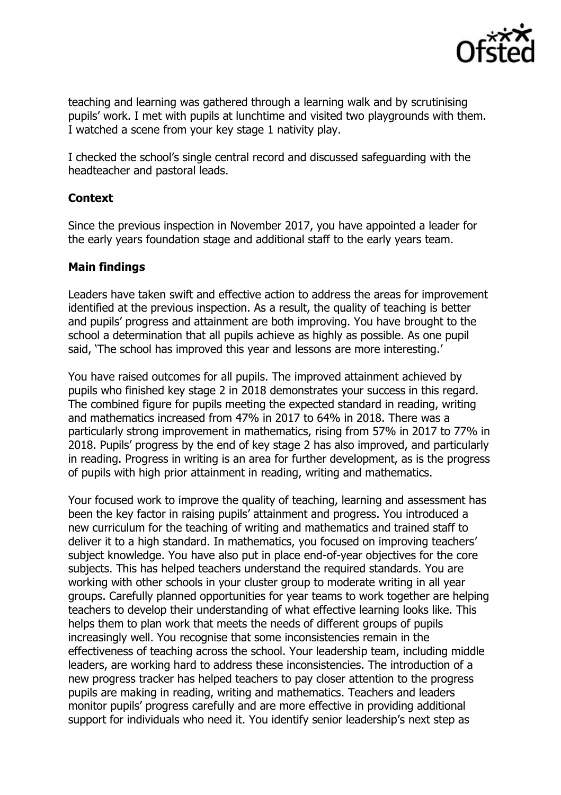

teaching and learning was gathered through a learning walk and by scrutinising pupils' work. I met with pupils at lunchtime and visited two playgrounds with them. I watched a scene from your key stage 1 nativity play.

I checked the school's single central record and discussed safeguarding with the headteacher and pastoral leads.

## **Context**

Since the previous inspection in November 2017, you have appointed a leader for the early years foundation stage and additional staff to the early years team.

# **Main findings**

Leaders have taken swift and effective action to address the areas for improvement identified at the previous inspection. As a result, the quality of teaching is better and pupils' progress and attainment are both improving. You have brought to the school a determination that all pupils achieve as highly as possible. As one pupil said, 'The school has improved this year and lessons are more interesting.'

You have raised outcomes for all pupils. The improved attainment achieved by pupils who finished key stage 2 in 2018 demonstrates your success in this regard. The combined figure for pupils meeting the expected standard in reading, writing and mathematics increased from 47% in 2017 to 64% in 2018. There was a particularly strong improvement in mathematics, rising from 57% in 2017 to 77% in 2018. Pupils' progress by the end of key stage 2 has also improved, and particularly in reading. Progress in writing is an area for further development, as is the progress of pupils with high prior attainment in reading, writing and mathematics.

Your focused work to improve the quality of teaching, learning and assessment has been the key factor in raising pupils' attainment and progress. You introduced a new curriculum for the teaching of writing and mathematics and trained staff to deliver it to a high standard. In mathematics, you focused on improving teachers' subject knowledge. You have also put in place end-of-year objectives for the core subjects. This has helped teachers understand the required standards. You are working with other schools in your cluster group to moderate writing in all year groups. Carefully planned opportunities for year teams to work together are helping teachers to develop their understanding of what effective learning looks like. This helps them to plan work that meets the needs of different groups of pupils increasingly well. You recognise that some inconsistencies remain in the effectiveness of teaching across the school. Your leadership team, including middle leaders, are working hard to address these inconsistencies. The introduction of a new progress tracker has helped teachers to pay closer attention to the progress pupils are making in reading, writing and mathematics. Teachers and leaders monitor pupils' progress carefully and are more effective in providing additional support for individuals who need it. You identify senior leadership's next step as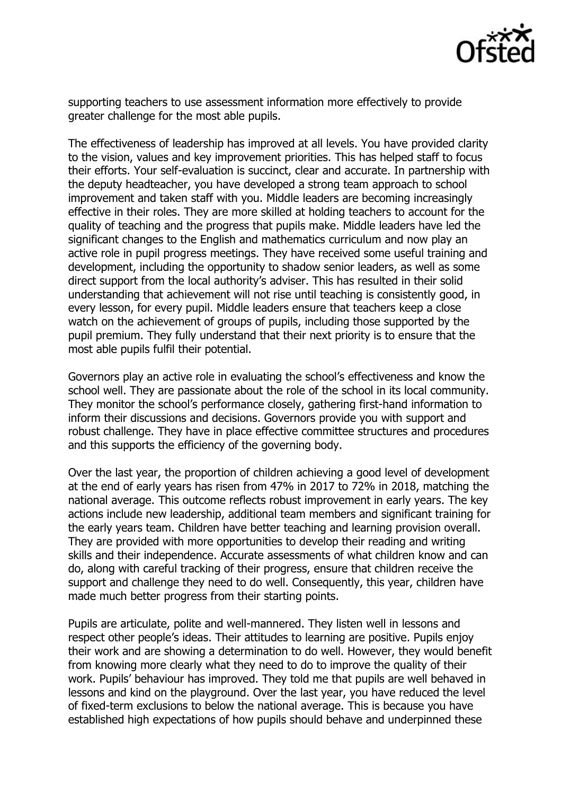

supporting teachers to use assessment information more effectively to provide greater challenge for the most able pupils.

The effectiveness of leadership has improved at all levels. You have provided clarity to the vision, values and key improvement priorities. This has helped staff to focus their efforts. Your self-evaluation is succinct, clear and accurate. In partnership with the deputy headteacher, you have developed a strong team approach to school improvement and taken staff with you. Middle leaders are becoming increasingly effective in their roles. They are more skilled at holding teachers to account for the quality of teaching and the progress that pupils make. Middle leaders have led the significant changes to the English and mathematics curriculum and now play an active role in pupil progress meetings. They have received some useful training and development, including the opportunity to shadow senior leaders, as well as some direct support from the local authority's adviser. This has resulted in their solid understanding that achievement will not rise until teaching is consistently good, in every lesson, for every pupil. Middle leaders ensure that teachers keep a close watch on the achievement of groups of pupils, including those supported by the pupil premium. They fully understand that their next priority is to ensure that the most able pupils fulfil their potential.

Governors play an active role in evaluating the school's effectiveness and know the school well. They are passionate about the role of the school in its local community. They monitor the school's performance closely, gathering first-hand information to inform their discussions and decisions. Governors provide you with support and robust challenge. They have in place effective committee structures and procedures and this supports the efficiency of the governing body.

Over the last year, the proportion of children achieving a good level of development at the end of early years has risen from 47% in 2017 to 72% in 2018, matching the national average. This outcome reflects robust improvement in early years. The key actions include new leadership, additional team members and significant training for the early years team. Children have better teaching and learning provision overall. They are provided with more opportunities to develop their reading and writing skills and their independence. Accurate assessments of what children know and can do, along with careful tracking of their progress, ensure that children receive the support and challenge they need to do well. Consequently, this year, children have made much better progress from their starting points.

Pupils are articulate, polite and well-mannered. They listen well in lessons and respect other people's ideas. Their attitudes to learning are positive. Pupils enjoy their work and are showing a determination to do well. However, they would benefit from knowing more clearly what they need to do to improve the quality of their work. Pupils' behaviour has improved. They told me that pupils are well behaved in lessons and kind on the playground. Over the last year, you have reduced the level of fixed-term exclusions to below the national average. This is because you have established high expectations of how pupils should behave and underpinned these